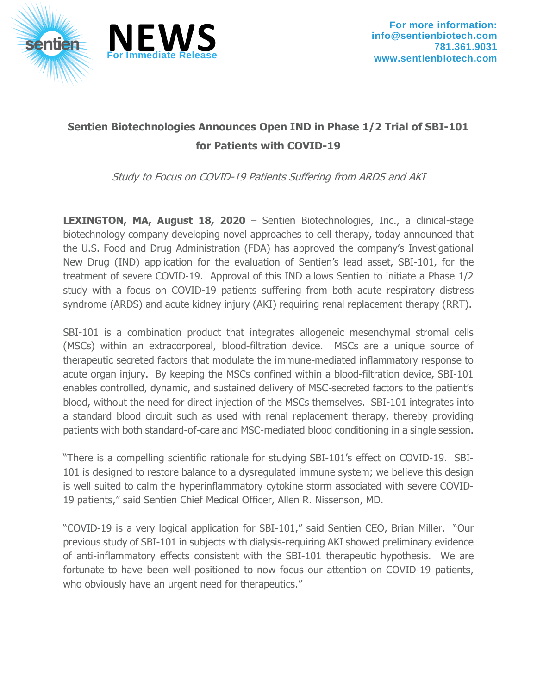



## **Sentien Biotechnologies Announces Open IND in Phase 1/2 Trial of SBI-101 for Patients with COVID-19**

Study to Focus on COVID-19 Patients Suffering from ARDS and AKI

**LEXINGTON, MA, August 18, 2020** – Sentien Biotechnologies, Inc., a clinical-stage biotechnology company developing novel approaches to cell therapy, today announced that the U.S. Food and Drug Administration (FDA) has approved the company's Investigational New Drug (IND) application for the evaluation of Sentien's lead asset, SBI-101, for the treatment of severe COVID-19. Approval of this IND allows Sentien to initiate a Phase 1/2 study with a focus on COVID-19 patients suffering from both acute respiratory distress syndrome (ARDS) and acute kidney injury (AKI) requiring renal replacement therapy (RRT).

SBI-101 is a combination product that integrates allogeneic mesenchymal stromal cells (MSCs) within an extracorporeal, blood-filtration device. MSCs are a unique source of therapeutic secreted factors that modulate the immune-mediated inflammatory response to acute organ injury. By keeping the MSCs confined within a blood-filtration device, SBI-101 enables controlled, dynamic, and sustained delivery of MSC-secreted factors to the patient's blood, without the need for direct injection of the MSCs themselves. SBI-101 integrates into a standard blood circuit such as used with renal replacement therapy, thereby providing patients with both standard-of-care and MSC-mediated blood conditioning in a single session.

"There is a compelling scientific rationale for studying SBI-101's effect on COVID-19. SBI-101 is designed to restore balance to a dysregulated immune system; we believe this design is well suited to calm the hyperinflammatory cytokine storm associated with severe COVID-19 patients," said Sentien Chief Medical Officer, Allen R. Nissenson, MD.

"COVID-19 is a very logical application for SBI-101," said Sentien CEO, Brian Miller. "Our previous study of SBI-101 in subjects with dialysis-requiring AKI showed preliminary evidence of anti-inflammatory effects consistent with the SBI-101 therapeutic hypothesis. We are fortunate to have been well-positioned to now focus our attention on COVID-19 patients, who obviously have an urgent need for therapeutics."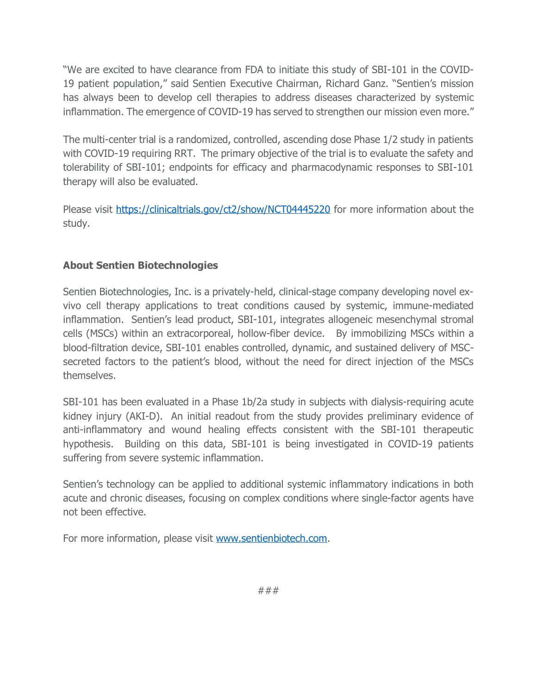"We are excited to have clearance from FDA to initiate this study of SBI-101 in the COVID-19 patient population," said Sentien Executive Chairman, Richard Ganz. "Sentien's mission has always been to develop cell therapies to address diseases characterized by systemic inflammation. The emergence of COVID-19 has served to strengthen our mission even more."

The multi-center trial is a randomized, controlled, ascending dose Phase 1/2 study in patients with COVID-19 requiring RRT. The primary objective of the trial is to evaluate the safety and tolerability of SBI-101; endpoints for efficacy and pharmacodynamic responses to SBI-101 therapy will also be evaluated.

Please visit<https://clinicaltrials.gov/ct2/show/NCT04445220> for more information about the study.

## **About Sentien Biotechnologies**

Sentien Biotechnologies, Inc. is a privately-held, clinical-stage company developing novel exvivo cell therapy applications to treat conditions caused by systemic, immune-mediated inflammation. Sentien's lead product, SBI-101, integrates allogeneic mesenchymal stromal cells (MSCs) within an extracorporeal, hollow-fiber device. By immobilizing MSCs within a blood-filtration device, SBI-101 enables controlled, dynamic, and sustained delivery of MSCsecreted factors to the patient's blood, without the need for direct injection of the MSCs themselves.

SBI-101 has been evaluated in a Phase 1b/2a study in subjects with dialysis-requiring acute kidney injury (AKI-D). An initial readout from the study provides preliminary evidence of anti-inflammatory and wound healing effects consistent with the SBI-101 therapeutic hypothesis. Building on this data, SBI-101 is being investigated in COVID-19 patients suffering from severe systemic inflammation.

Sentien's technology can be applied to additional systemic inflammatory indications in both acute and chronic diseases, focusing on complex conditions where single-factor agents have not been effective.

For more information, please visit [www.sentienbiotech.com.](http://www.sentienbiotech.com/)